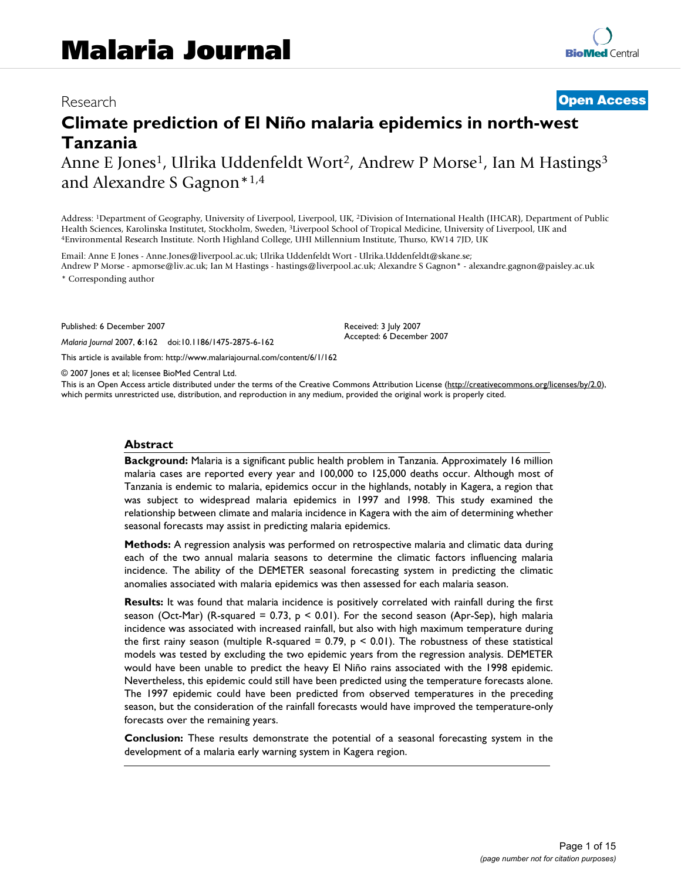# Research **[Open Access](http://www.biomedcentral.com/info/about/charter/)**

# **Climate prediction of El Niño malaria epidemics in north-west Tanzania**

Anne E Jones<sup>1</sup>, Ulrika Uddenfeldt Wort<sup>2</sup>, Andrew P Morse<sup>1</sup>, Ian M Hastings<sup>3</sup> and Alexandre S Gagnon\*1,4

Address: 1Department of Geography, University of Liverpool, Liverpool, UK, 2Division of International Health (IHCAR), Department of Public Health Sciences, Karolinska Institutet, Stockholm, Sweden, <sup>3</sup>Liverpool School of Tropical Medicine, University of Liverpool, UK and 4Environmental Research Institute. North Highland College, UHI Millennium Institute, Thur

Email: Anne E Jones - Anne.Jones@liverpool.ac.uk; Ulrika Uddenfeldt Wort - Ulrika.Uddenfeldt@skane.se; Andrew P Morse - apmorse@liv.ac.uk; Ian M Hastings - hastings@liverpool.ac.uk; Alexandre S Gagnon\* - alexandre.gagnon@paisley.ac.uk \* Corresponding author

Published: 6 December 2007

*Malaria Journal* 2007, **6**:162 doi:10.1186/1475-2875-6-162

[This article is available from: http://www.malariajournal.com/content/6/1/162](http://www.malariajournal.com/content/6/1/162)

© 2007 Jones et al; licensee BioMed Central Ltd.

This is an Open Access article distributed under the terms of the Creative Commons Attribution License [\(http://creativecommons.org/licenses/by/2.0\)](http://creativecommons.org/licenses/by/2.0), which permits unrestricted use, distribution, and reproduction in any medium, provided the original work is properly cited.

Received: 3 July 2007 Accepted: 6 December 2007

#### **Abstract**

**Background:** Malaria is a significant public health problem in Tanzania. Approximately 16 million malaria cases are reported every year and 100,000 to 125,000 deaths occur. Although most of Tanzania is endemic to malaria, epidemics occur in the highlands, notably in Kagera, a region that was subject to widespread malaria epidemics in 1997 and 1998. This study examined the relationship between climate and malaria incidence in Kagera with the aim of determining whether seasonal forecasts may assist in predicting malaria epidemics.

**Methods:** A regression analysis was performed on retrospective malaria and climatic data during each of the two annual malaria seasons to determine the climatic factors influencing malaria incidence. The ability of the DEMETER seasonal forecasting system in predicting the climatic anomalies associated with malaria epidemics was then assessed for each malaria season.

**Results:** It was found that malaria incidence is positively correlated with rainfall during the first season (Oct-Mar) (R-squared = 0.73,  $p < 0.01$ ). For the second season (Apr-Sep), high malaria incidence was associated with increased rainfall, but also with high maximum temperature during the first rainy season (multiple R-squared =  $0.79$ ,  $p \le 0.01$ ). The robustness of these statistical models was tested by excluding the two epidemic years from the regression analysis. DEMETER would have been unable to predict the heavy El Niño rains associated with the 1998 epidemic. Nevertheless, this epidemic could still have been predicted using the temperature forecasts alone. The 1997 epidemic could have been predicted from observed temperatures in the preceding season, but the consideration of the rainfall forecasts would have improved the temperature-only forecasts over the remaining years.

**Conclusion:** These results demonstrate the potential of a seasonal forecasting system in the development of a malaria early warning system in Kagera region.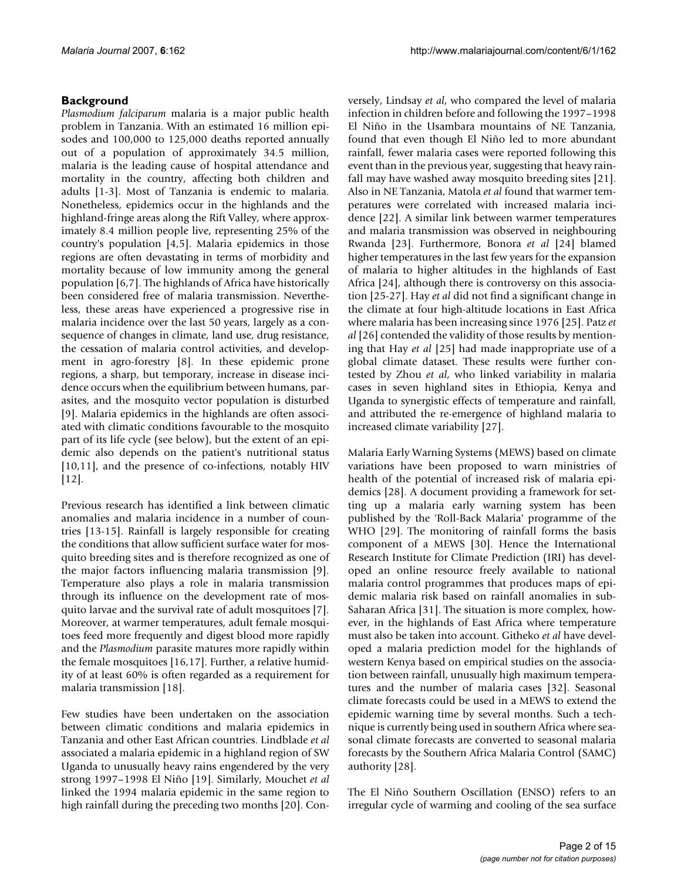# **Background**

*Plasmodium falciparum* malaria is a major public health problem in Tanzania. With an estimated 16 million episodes and 100,000 to 125,000 deaths reported annually out of a population of approximately 34.5 million, malaria is the leading cause of hospital attendance and mortality in the country, affecting both children and adults [1-3]. Most of Tanzania is endemic to malaria. Nonetheless, epidemics occur in the highlands and the highland-fringe areas along the Rift Valley, where approximately 8.4 million people live, representing 25% of the country's population [4,5]. Malaria epidemics in those regions are often devastating in terms of morbidity and mortality because of low immunity among the general population [6,7]. The highlands of Africa have historically been considered free of malaria transmission. Nevertheless, these areas have experienced a progressive rise in malaria incidence over the last 50 years, largely as a consequence of changes in climate, land use, drug resistance, the cessation of malaria control activities, and development in agro-forestry [8]. In these epidemic prone regions, a sharp, but temporary, increase in disease incidence occurs when the equilibrium between humans, parasites, and the mosquito vector population is disturbed [9]. Malaria epidemics in the highlands are often associated with climatic conditions favourable to the mosquito part of its life cycle (see below), but the extent of an epidemic also depends on the patient's nutritional status [10,11], and the presence of co-infections, notably HIV  $[12]$ .

Previous research has identified a link between climatic anomalies and malaria incidence in a number of countries [13-15]. Rainfall is largely responsible for creating the conditions that allow sufficient surface water for mosquito breeding sites and is therefore recognized as one of the major factors influencing malaria transmission [9]. Temperature also plays a role in malaria transmission through its influence on the development rate of mosquito larvae and the survival rate of adult mosquitoes [7]. Moreover, at warmer temperatures, adult female mosquitoes feed more frequently and digest blood more rapidly and the *Plasmodium* parasite matures more rapidly within the female mosquitoes [16,17]. Further, a relative humidity of at least 60% is often regarded as a requirement for malaria transmission [18].

Few studies have been undertaken on the association between climatic conditions and malaria epidemics in Tanzania and other East African countries. Lindblade *et al* associated a malaria epidemic in a highland region of SW Uganda to unusually heavy rains engendered by the very strong 1997–1998 El Niño [19]. Similarly, Mouchet *et al* linked the 1994 malaria epidemic in the same region to high rainfall during the preceding two months [20]. Conversely, Lindsay *et al*, who compared the level of malaria infection in children before and following the 1997–1998 El Niño in the Usambara mountains of NE Tanzania, found that even though El Niño led to more abundant rainfall, fewer malaria cases were reported following this event than in the previous year, suggesting that heavy rainfall may have washed away mosquito breeding sites [21]. Also in NE Tanzania, Matola *et al* found that warmer temperatures were correlated with increased malaria incidence [22]. A similar link between warmer temperatures and malaria transmission was observed in neighbouring Rwanda [23]. Furthermore, Bonora *et al* [24] blamed higher temperatures in the last few years for the expansion of malaria to higher altitudes in the highlands of East Africa [24], although there is controversy on this association [25-27]. Hay *et al* did not find a significant change in the climate at four high-altitude locations in East Africa where malaria has been increasing since 1976 [25]. Patz *et al* [26] contended the validity of those results by mentioning that Hay *et al* [25] had made inappropriate use of a global climate dataset. These results were further contested by Zhou *et al*, who linked variability in malaria cases in seven highland sites in Ethiopia, Kenya and Uganda to synergistic effects of temperature and rainfall, and attributed the re-emergence of highland malaria to increased climate variability [27].

Malaria Early Warning Systems (MEWS) based on climate variations have been proposed to warn ministries of health of the potential of increased risk of malaria epidemics [28]. A document providing a framework for setting up a malaria early warning system has been published by the 'Roll-Back Malaria' programme of the WHO [29]. The monitoring of rainfall forms the basis component of a MEWS [30]. Hence the International Research Institute for Climate Prediction (IRI) has developed an online resource freely available to national malaria control programmes that produces maps of epidemic malaria risk based on rainfall anomalies in sub-Saharan Africa [31]. The situation is more complex, however, in the highlands of East Africa where temperature must also be taken into account. Githeko *et al* have developed a malaria prediction model for the highlands of western Kenya based on empirical studies on the association between rainfall, unusually high maximum temperatures and the number of malaria cases [32]. Seasonal climate forecasts could be used in a MEWS to extend the epidemic warning time by several months. Such a technique is currently being used in southern Africa where seasonal climate forecasts are converted to seasonal malaria forecasts by the Southern Africa Malaria Control (SAMC) authority [28].

The El Niño Southern Oscillation (ENSO) refers to an irregular cycle of warming and cooling of the sea surface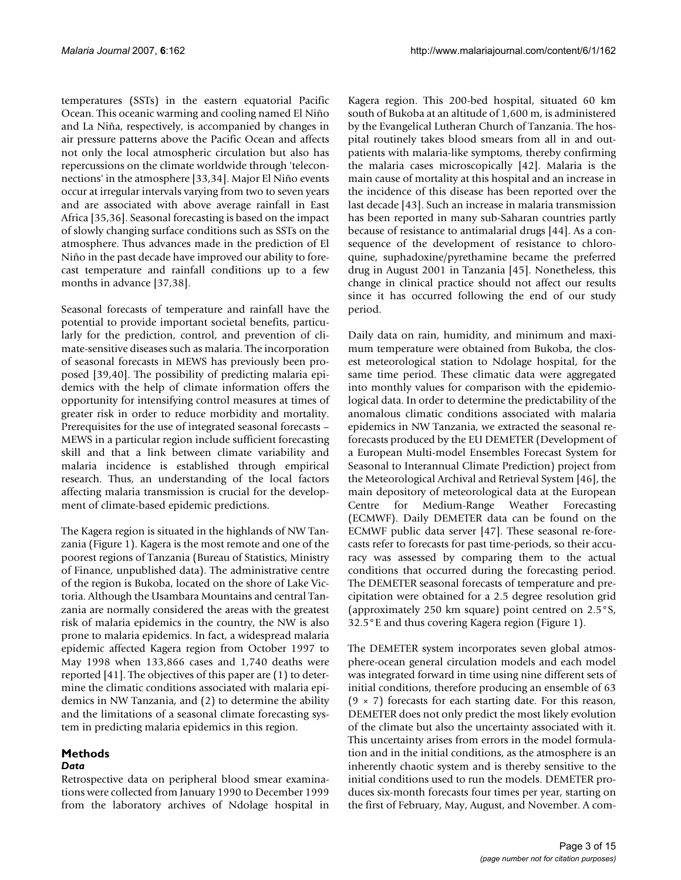temperatures (SSTs) in the eastern equatorial Pacific Ocean. This oceanic warming and cooling named El Niño and La Niña, respectively, is accompanied by changes in air pressure patterns above the Pacific Ocean and affects not only the local atmospheric circulation but also has repercussions on the climate worldwide through 'teleconnections' in the atmosphere [33,34]. Major El Niño events occur at irregular intervals varying from two to seven years and are associated with above average rainfall in East Africa [35,36]. Seasonal forecasting is based on the impact of slowly changing surface conditions such as SSTs on the atmosphere. Thus advances made in the prediction of El Niño in the past decade have improved our ability to forecast temperature and rainfall conditions up to a few months in advance [37,38].

Seasonal forecasts of temperature and rainfall have the potential to provide important societal benefits, particularly for the prediction, control, and prevention of climate-sensitive diseases such as malaria. The incorporation of seasonal forecasts in MEWS has previously been proposed [39,40]. The possibility of predicting malaria epidemics with the help of climate information offers the opportunity for intensifying control measures at times of greater risk in order to reduce morbidity and mortality. Prerequisites for the use of integrated seasonal forecasts – MEWS in a particular region include sufficient forecasting skill and that a link between climate variability and malaria incidence is established through empirical research. Thus, an understanding of the local factors affecting malaria transmission is crucial for the development of climate-based epidemic predictions.

The Kagera region is situated in the highlands of NW Tanzania (Figure 1). Kagera is the most remote and one of the poorest regions of Tanzania (Bureau of Statistics, Ministry of Finance, unpublished data). The administrative centre of the region is Bukoba, located on the shore of Lake Victoria. Although the Usambara Mountains and central Tanzania are normally considered the areas with the greatest risk of malaria epidemics in the country, the NW is also prone to malaria epidemics. In fact, a widespread malaria epidemic affected Kagera region from October 1997 to May 1998 when 133,866 cases and 1,740 deaths were reported [41]. The objectives of this paper are (1) to determine the climatic conditions associated with malaria epidemics in NW Tanzania, and (2) to determine the ability and the limitations of a seasonal climate forecasting system in predicting malaria epidemics in this region.

# **Methods**

#### *Data*

Retrospective data on peripheral blood smear examinations were collected from January 1990 to December 1999 from the laboratory archives of Ndolage hospital in Kagera region. This 200-bed hospital, situated 60 km south of Bukoba at an altitude of 1,600 m, is administered by the Evangelical Lutheran Church of Tanzania. The hospital routinely takes blood smears from all in and outpatients with malaria-like symptoms, thereby confirming the malaria cases microscopically [42]. Malaria is the main cause of mortality at this hospital and an increase in the incidence of this disease has been reported over the last decade [43]. Such an increase in malaria transmission has been reported in many sub-Saharan countries partly because of resistance to antimalarial drugs [44]. As a consequence of the development of resistance to chloroquine, suphadoxine/pyrethamine became the preferred drug in August 2001 in Tanzania [45]. Nonetheless, this change in clinical practice should not affect our results since it has occurred following the end of our study period.

Daily data on rain, humidity, and minimum and maximum temperature were obtained from Bukoba, the closest meteorological station to Ndolage hospital, for the same time period. These climatic data were aggregated into monthly values for comparison with the epidemiological data. In order to determine the predictability of the anomalous climatic conditions associated with malaria epidemics in NW Tanzania, we extracted the seasonal reforecasts produced by the EU DEMETER (Development of a European Multi-model Ensembles Forecast System for Seasonal to Interannual Climate Prediction) project from the Meteorological Archival and Retrieval System [46], the main depository of meteorological data at the European Centre for Medium-Range Weather Forecasting (ECMWF). Daily DEMETER data can be found on the ECMWF public data server [47]. These seasonal re-forecasts refer to forecasts for past time-periods, so their accuracy was assessed by comparing them to the actual conditions that occurred during the forecasting period. The DEMETER seasonal forecasts of temperature and precipitation were obtained for a 2.5 degree resolution grid (approximately 250 km square) point centred on 2.5°S, 32.5°E and thus covering Kagera region (Figure 1).

The DEMETER system incorporates seven global atmosphere-ocean general circulation models and each model was integrated forward in time using nine different sets of initial conditions, therefore producing an ensemble of 63  $(9 \times 7)$  forecasts for each starting date. For this reason, DEMETER does not only predict the most likely evolution of the climate but also the uncertainty associated with it. This uncertainty arises from errors in the model formulation and in the initial conditions, as the atmosphere is an inherently chaotic system and is thereby sensitive to the initial conditions used to run the models. DEMETER produces six-month forecasts four times per year, starting on the first of February, May, August, and November. A com-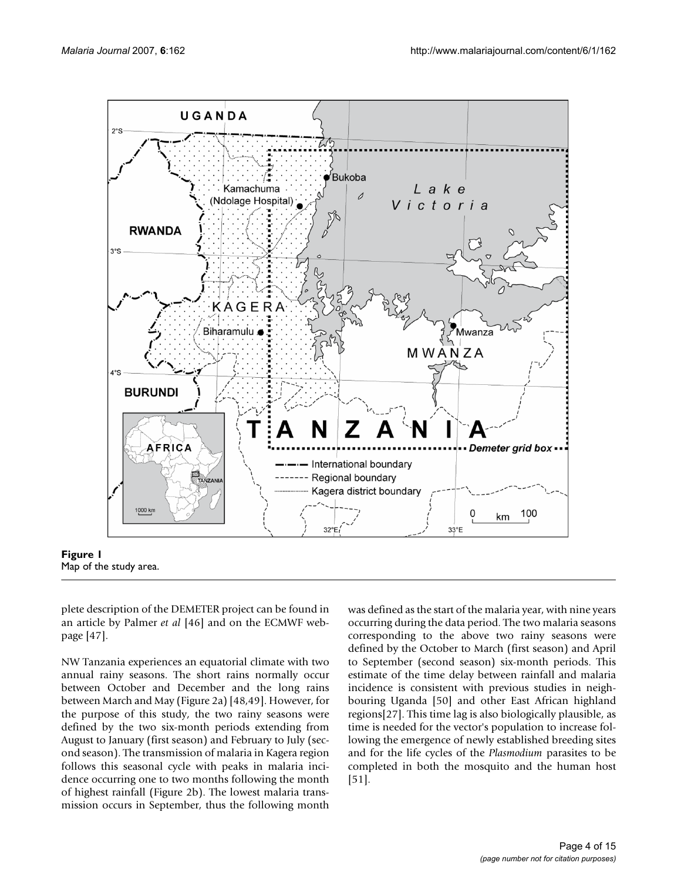

**Figure 1** Map of the study area.

plete description of the DEMETER project can be found in an article by Palmer *et al* [46] and on the ECMWF webpage [47].

NW Tanzania experiences an equatorial climate with two annual rainy seasons. The short rains normally occur between October and December and the long rains between March and May (Figure 2a) [48,49]. However, for the purpose of this study, the two rainy seasons were defined by the two six-month periods extending from August to January (first season) and February to July (second season). The transmission of malaria in Kagera region follows this seasonal cycle with peaks in malaria incidence occurring one to two months following the month of highest rainfall (Figure 2b). The lowest malaria transmission occurs in September, thus the following month

was defined as the start of the malaria year, with nine years occurring during the data period. The two malaria seasons corresponding to the above two rainy seasons were defined by the October to March (first season) and April to September (second season) six-month periods. This estimate of the time delay between rainfall and malaria incidence is consistent with previous studies in neighbouring Uganda [50] and other East African highland regions[27]. This time lag is also biologically plausible, as time is needed for the vector's population to increase following the emergence of newly established breeding sites and for the life cycles of the *Plasmodium* parasites to be completed in both the mosquito and the human host [51].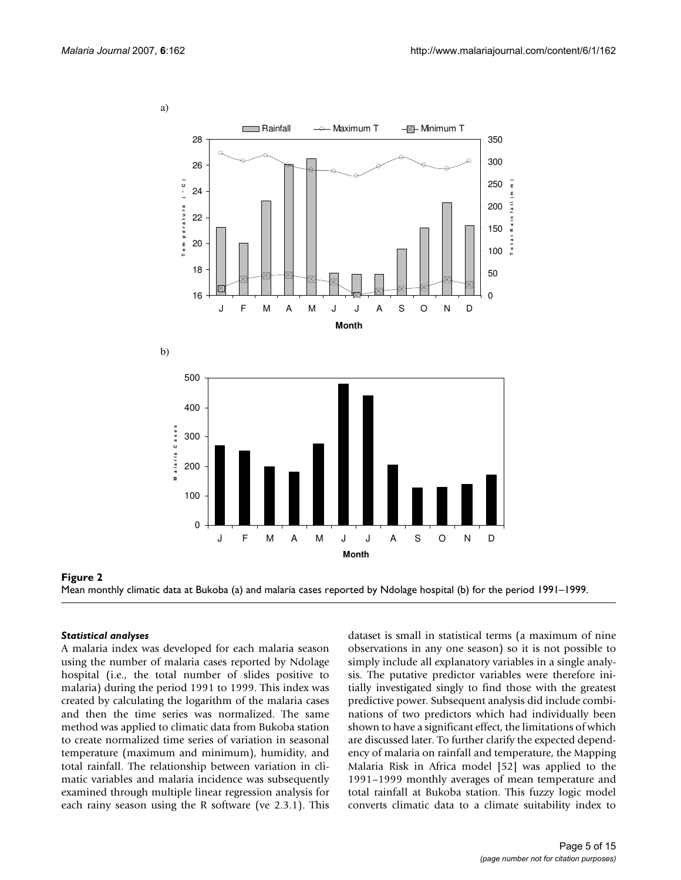

Mean monthly climatic data at Bukoba (a) and malaria cases reported by Ndolage hospital (b) for the period 1991–1999.

#### *Statistical analyses*

A malaria index was developed for each malaria season using the number of malaria cases reported by Ndolage hospital (i.e., the total number of slides positive to malaria) during the period 1991 to 1999. This index was created by calculating the logarithm of the malaria cases and then the time series was normalized. The same method was applied to climatic data from Bukoba station to create normalized time series of variation in seasonal temperature (maximum and minimum), humidity, and total rainfall. The relationship between variation in climatic variables and malaria incidence was subsequently examined through multiple linear regression analysis for each rainy season using the R software (ve 2.3.1). This

dataset is small in statistical terms (a maximum of nine observations in any one season) so it is not possible to simply include all explanatory variables in a single analysis. The putative predictor variables were therefore initially investigated singly to find those with the greatest predictive power. Subsequent analysis did include combinations of two predictors which had individually been shown to have a significant effect, the limitations of which are discussed later. To further clarify the expected dependency of malaria on rainfall and temperature, the Mapping Malaria Risk in Africa model [52] was applied to the 1991–1999 monthly averages of mean temperature and total rainfall at Bukoba station. This fuzzy logic model converts climatic data to a climate suitability index to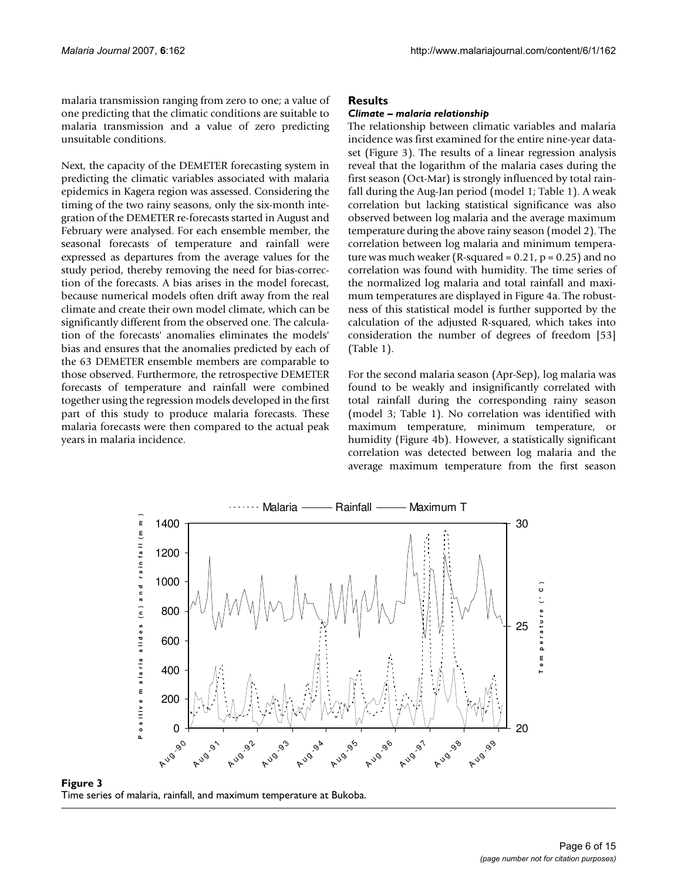malaria transmission ranging from zero to one; a value of one predicting that the climatic conditions are suitable to malaria transmission and a value of zero predicting unsuitable conditions.

Next, the capacity of the DEMETER forecasting system in predicting the climatic variables associated with malaria epidemics in Kagera region was assessed. Considering the timing of the two rainy seasons, only the six-month integration of the DEMETER re-forecasts started in August and February were analysed. For each ensemble member, the seasonal forecasts of temperature and rainfall were expressed as departures from the average values for the study period, thereby removing the need for bias-correction of the forecasts. A bias arises in the model forecast, because numerical models often drift away from the real climate and create their own model climate, which can be significantly different from the observed one. The calculation of the forecasts' anomalies eliminates the models' bias and ensures that the anomalies predicted by each of the 63 DEMETER ensemble members are comparable to those observed. Furthermore, the retrospective DEMETER forecasts of temperature and rainfall were combined together using the regression models developed in the first part of this study to produce malaria forecasts. These malaria forecasts were then compared to the actual peak years in malaria incidence.

### **Results**

#### *Climate – malaria relationship*

The relationship between climatic variables and malaria incidence was first examined for the entire nine-year dataset (Figure 3). The results of a linear regression analysis reveal that the logarithm of the malaria cases during the first season (Oct-Mar) is strongly influenced by total rainfall during the Aug-Jan period (model 1; Table 1). A weak correlation but lacking statistical significance was also observed between log malaria and the average maximum temperature during the above rainy season (model 2). The correlation between log malaria and minimum temperature was much weaker (R-squared =  $0.21$ ,  $p = 0.25$ ) and no correlation was found with humidity. The time series of the normalized log malaria and total rainfall and maximum temperatures are displayed in Figure 4a. The robustness of this statistical model is further supported by the calculation of the adjusted R-squared, which takes into consideration the number of degrees of freedom [53] (Table 1).

For the second malaria season (Apr-Sep), log malaria was found to be weakly and insignificantly correlated with total rainfall during the corresponding rainy season (model 3; Table 1). No correlation was identified with maximum temperature, minimum temperature, or humidity (Figure 4b). However, a statistically significant correlation was detected between log malaria and the average maximum temperature from the first season



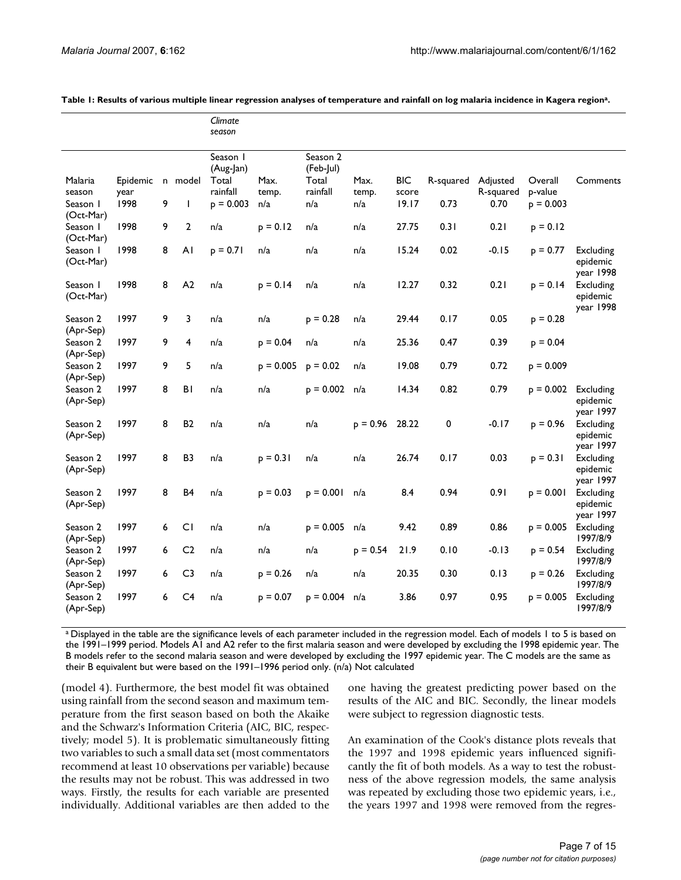|                       |                  |   |                | Climate<br>season     |               |                       |               |                     |           |                       |                    |                                    |
|-----------------------|------------------|---|----------------|-----------------------|---------------|-----------------------|---------------|---------------------|-----------|-----------------------|--------------------|------------------------------------|
|                       |                  |   |                | Season I<br>(Aug-Jan) |               | Season 2<br>(Feb-Jul) |               |                     |           |                       |                    |                                    |
| Malaria<br>season     | Epidemic<br>year |   | n model        | Total<br>rainfall     | Max.<br>temp. | Total<br>rainfall     | Max.<br>temp. | <b>BIC</b><br>score | R-squared | Adjusted<br>R-squared | Overall<br>p-value | Comments                           |
| Season I<br>(Oct-Mar) | 1998             | 9 | I.             | $p = 0.003$           | n/a           | n/a                   | n/a           | 19.17               | 0.73      | 0.70                  | $p = 0.003$        |                                    |
| Season I<br>(Oct-Mar) | 1998             | 9 | $\mathbf{2}$   | n/a                   | $p = 0.12$    | n/a                   | n/a           | 27.75               | 0.31      | 0.21                  | $p = 0.12$         |                                    |
| Season I<br>(Oct-Mar) | 1998             | 8 | AI             | $p = 0.71$            | n/a           | n/a                   | n/a           | 15.24               | 0.02      | $-0.15$               | $p = 0.77$         | Excluding<br>epidemic<br>year 1998 |
| Season 1<br>(Oct-Mar) | 1998             | 8 | A <sub>2</sub> | n/a                   | $p = 0.14$    | n/a                   | n/a           | 12.27               | 0.32      | 0.21                  | $p = 0.14$         | Excluding<br>epidemic<br>year 1998 |
| Season 2<br>(Apr-Sep) | 1997             | 9 | 3              | n/a                   | n/a           | $p = 0.28$            | n/a           | 29.44               | 0.17      | 0.05                  | $p = 0.28$         |                                    |
| Season 2<br>(Apr-Sep) | 1997             | 9 | 4              | n/a                   | $p = 0.04$    | n/a                   | n/a           | 25.36               | 0.47      | 0.39                  | $p = 0.04$         |                                    |
| Season 2<br>(Apr-Sep) | 1997             | 9 | 5              | n/a                   | $p = 0.005$   | $p = 0.02$            | n/a           | 19.08               | 0.79      | 0.72                  | $p = 0.009$        |                                    |
| Season 2<br>(Apr-Sep) | 1997             | 8 | <b>BI</b>      | n/a                   | n/a           | $p = 0.002$           | n/a           | 14.34               | 0.82      | 0.79                  | $p = 0.002$        | Excluding<br>epidemic<br>year 1997 |
| Season 2<br>(Apr-Sep) | 1997             | 8 | <b>B2</b>      | n/a                   | n/a           | n/a                   | $p = 0.96$    | 28.22               | 0         | $-0.17$               | $p = 0.96$         | Excluding<br>epidemic<br>year 1997 |
| Season 2<br>(Apr-Sep) | 1997             | 8 | B <sub>3</sub> | n/a                   | $p = 0.31$    | n/a                   | n/a           | 26.74               | 0.17      | 0.03                  | $p = 0.31$         | Excluding<br>epidemic<br>year 1997 |
| Season 2<br>(Apr-Sep) | 1997             | 8 | <b>B4</b>      | n/a                   | $p = 0.03$    | $p = 0.001$           | n/a           | 8.4                 | 0.94      | 0.91                  | $p = 0.001$        | Excluding<br>epidemic<br>year 1997 |
| Season 2<br>(Apr-Sep) | 1997             | 6 | СI             | n/a                   | n/a           | $p = 0.005$           | n/a           | 9.42                | 0.89      | 0.86                  | $p = 0.005$        | Excluding<br>1997/8/9              |
| Season 2<br>(Apr-Sep) | 1997             | 6 | C <sub>2</sub> | n/a                   | n/a           | n/a                   | $p = 0.54$    | 21.9                | 0.10      | $-0.13$               | $p = 0.54$         | Excluding<br>1997/8/9              |
| Season 2<br>(Apr-Sep) | 1997             | 6 | C <sub>3</sub> | n/a                   | $p = 0.26$    | n/a                   | n/a           | 20.35               | 0.30      | 0.13                  | $p = 0.26$         | Excluding<br>1997/8/9              |
| Season 2<br>(Apr-Sep) | 1997             | 6 | C4             | n/a                   | $p = 0.07$    | $p = 0.004$           | n/a           | 3.86                | 0.97      | 0.95                  | $p = 0.005$        | Excluding<br>1997/8/9              |

**Table 1: Results of various multiple linear regression analyses of temperature and rainfall on log malaria incidence in Kagera regiona.**

a Displayed in the table are the significance levels of each parameter included in the regression model. Each of models 1 to 5 is based on the 1991–1999 period. Models A1 and A2 refer to the first malaria season and were developed by excluding the 1998 epidemic year. The B models refer to the second malaria season and were developed by excluding the 1997 epidemic year. The C models are the same as their B equivalent but were based on the 1991–1996 period only. (n/a) Not calculated

(model 4). Furthermore, the best model fit was obtained using rainfall from the second season and maximum temperature from the first season based on both the Akaike and the Schwarz's Information Criteria (AIC, BIC, respectively; model 5). It is problematic simultaneously fitting two variables to such a small data set (most commentators recommend at least 10 observations per variable) because the results may not be robust. This was addressed in two ways. Firstly, the results for each variable are presented individually. Additional variables are then added to the one having the greatest predicting power based on the results of the AIC and BIC. Secondly, the linear models were subject to regression diagnostic tests.

An examination of the Cook's distance plots reveals that the 1997 and 1998 epidemic years influenced significantly the fit of both models. As a way to test the robustness of the above regression models, the same analysis was repeated by excluding those two epidemic years, i.e., the years 1997 and 1998 were removed from the regres-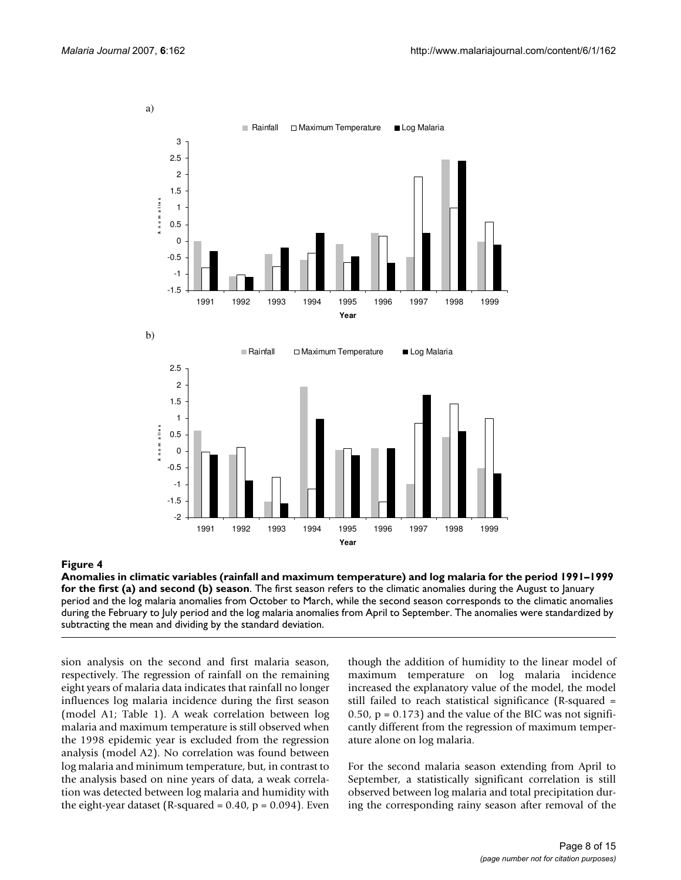

**Anomalies in climatic variables (rainfall and maximum temperature) and log malaria for the period 1991–1999 for the first (a) and second (b) season**. The first season refers to the climatic anomalies during the August to January period and the log malaria anomalies from October to March, while the second season corresponds to the climatic anomalies during the February to July period and the log malaria anomalies from April to September. The anomalies were standardized by subtracting the mean and dividing by the standard deviation.

sion analysis on the second and first malaria season, respectively. The regression of rainfall on the remaining eight years of malaria data indicates that rainfall no longer influences log malaria incidence during the first season (model A1; Table 1). A weak correlation between log malaria and maximum temperature is still observed when the 1998 epidemic year is excluded from the regression analysis (model A2). No correlation was found between log malaria and minimum temperature, but, in contrast to the analysis based on nine years of data, a weak correlation was detected between log malaria and humidity with the eight-year dataset (R-squared  $= 0.40$ ,  $p = 0.094$ ). Even

though the addition of humidity to the linear model of maximum temperature on log malaria incidence increased the explanatory value of the model, the model still failed to reach statistical significance (R-squared = 0.50,  $p = 0.173$ ) and the value of the BIC was not significantly different from the regression of maximum temperature alone on log malaria.

For the second malaria season extending from April to September, a statistically significant correlation is still observed between log malaria and total precipitation during the corresponding rainy season after removal of the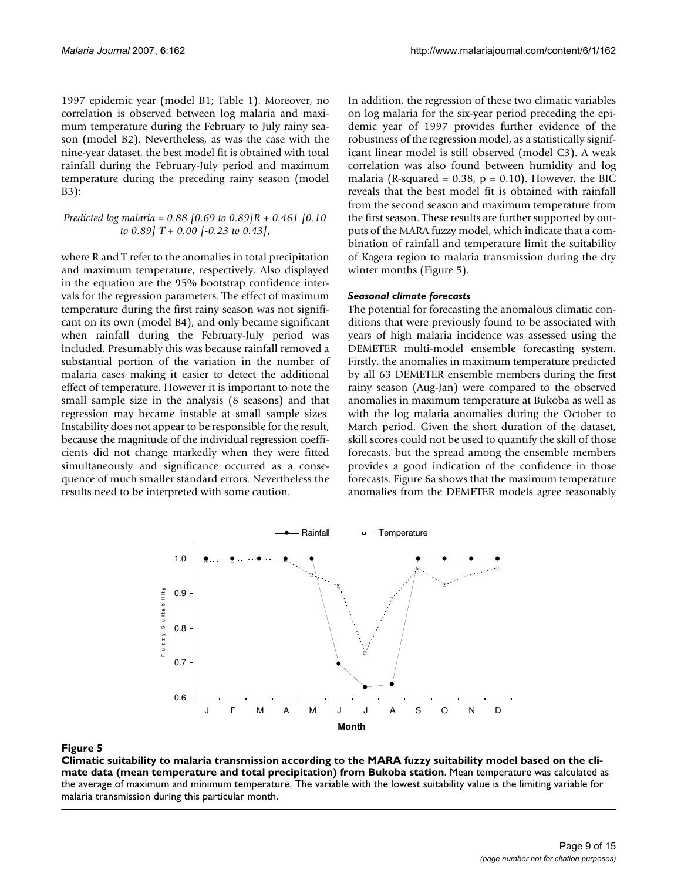1997 epidemic year (model B1; Table 1). Moreover, no correlation is observed between log malaria and maximum temperature during the February to July rainy season (model B2). Nevertheless, as was the case with the nine-year dataset, the best model fit is obtained with total rainfall during the February-July period and maximum temperature during the preceding rainy season (model B3):

### *Predicted log malaria = 0.88 [0.69 to 0.89]R + 0.461 [0.10 to 0.89] T + 0.00 [-0.23 to 0.43]*,

where R and T refer to the anomalies in total precipitation and maximum temperature, respectively. Also displayed in the equation are the 95% bootstrap confidence intervals for the regression parameters. The effect of maximum temperature during the first rainy season was not significant on its own (model B4), and only became significant when rainfall during the February-July period was included. Presumably this was because rainfall removed a substantial portion of the variation in the number of malaria cases making it easier to detect the additional effect of temperature. However it is important to note the small sample size in the analysis (8 seasons) and that regression may became instable at small sample sizes. Instability does not appear to be responsible for the result, because the magnitude of the individual regression coefficients did not change markedly when they were fitted simultaneously and significance occurred as a consequence of much smaller standard errors. Nevertheless the results need to be interpreted with some caution.

In addition, the regression of these two climatic variables on log malaria for the six-year period preceding the epidemic year of 1997 provides further evidence of the robustness of the regression model, as a statistically significant linear model is still observed (model C3). A weak correlation was also found between humidity and log malaria (R-squared =  $0.38$ , p =  $0.10$ ). However, the BIC reveals that the best model fit is obtained with rainfall from the second season and maximum temperature from the first season. These results are further supported by outputs of the MARA fuzzy model, which indicate that a combination of rainfall and temperature limit the suitability of Kagera region to malaria transmission during the dry winter months (Figure 5).

### *Seasonal climate forecasts*

The potential for forecasting the anomalous climatic conditions that were previously found to be associated with years of high malaria incidence was assessed using the DEMETER multi-model ensemble forecasting system. Firstly, the anomalies in maximum temperature predicted by all 63 DEMETER ensemble members during the first rainy season (Aug-Jan) were compared to the observed anomalies in maximum temperature at Bukoba as well as with the log malaria anomalies during the October to March period. Given the short duration of the dataset, skill scores could not be used to quantify the skill of those forecasts, but the spread among the ensemble members provides a good indication of the confidence in those forecasts. Figure 6a shows that the maximum temperature anomalies from the DEMETER models agree reasonably



# Climatic suitability to malaria transmissi temperature and total precipitation) from Bukoba station **Figure 5** on according to the MARA fuzzy suitability model based on the climate data (mean

**Climatic suitability to malaria transmission according to the MARA fuzzy suitability model based on the climate data (mean temperature and total precipitation) from Bukoba station**. Mean temperature was calculated as the average of maximum and minimum temperature. The variable with the lowest suitability value is the limiting variable for malaria transmission during this particular month.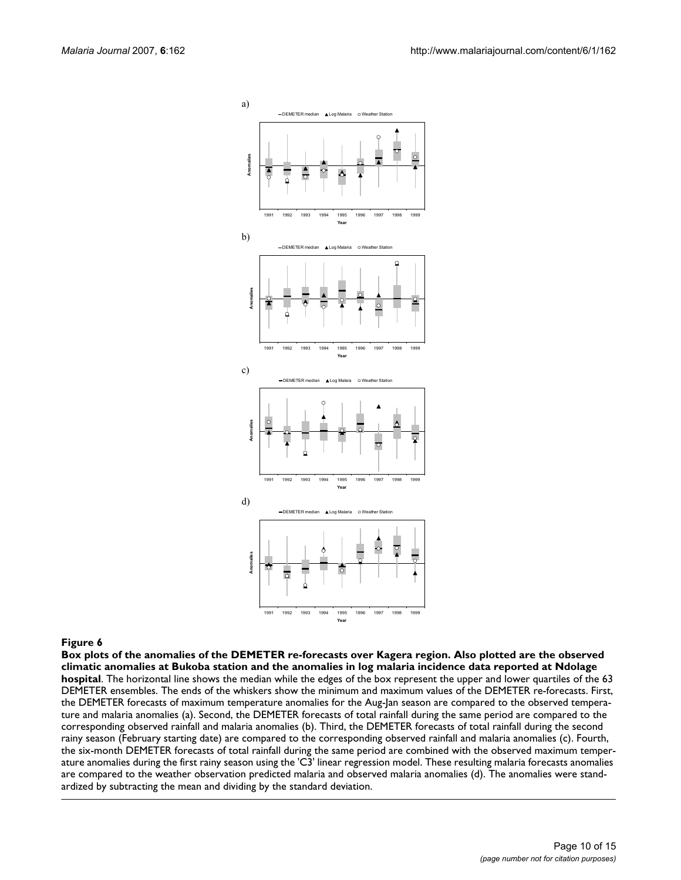

**Box plots of the anomalies of the DEMETER re-forecasts over Kagera region. Also plotted are the observed climatic anomalies at Bukoba station and the anomalies in log malaria incidence data reported at Ndolage hospital**. The horizontal line shows the median while the edges of the box represent the upper and lower quartiles of the 63 DEMETER ensembles. The ends of the whiskers show the minimum and maximum values of the DEMETER re-forecasts. First, the DEMETER forecasts of maximum temperature anomalies for the Aug-Jan season are compared to the observed temperature and malaria anomalies (a). Second, the DEMETER forecasts of total rainfall during the same period are compared to the corresponding observed rainfall and malaria anomalies (b). Third, the DEMETER forecasts of total rainfall during the second rainy season (February starting date) are compared to the corresponding observed rainfall and malaria anomalies (c). Fourth, the six-month DEMETER forecasts of total rainfall during the same period are combined with the observed maximum temperature anomalies during the first rainy season using the 'C3' linear regression model. These resulting malaria forecasts anomalies are compared to the weather observation predicted malaria and observed malaria anomalies (d). The anomalies were standardized by subtracting the mean and dividing by the standard deviation.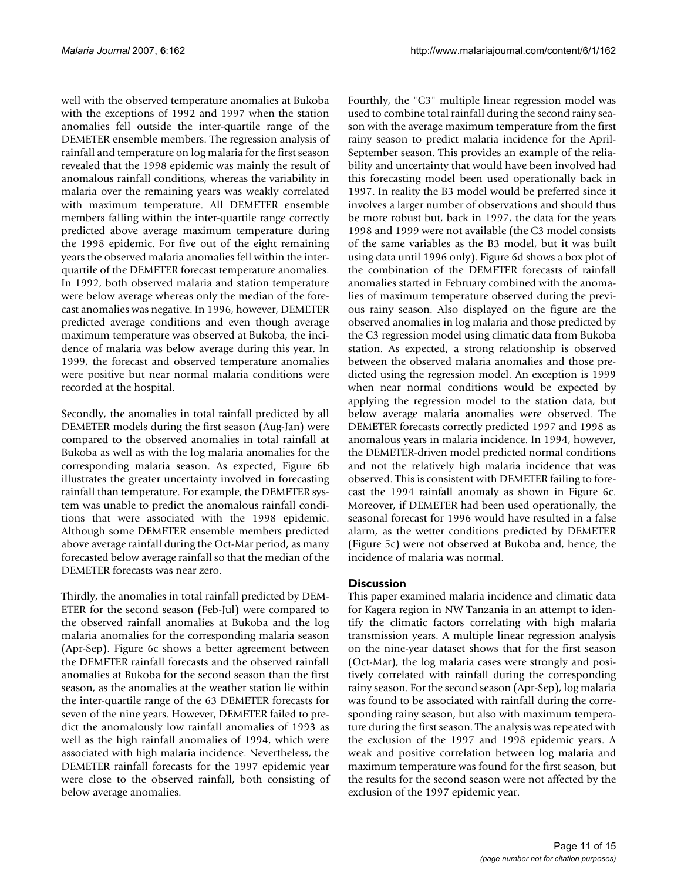well with the observed temperature anomalies at Bukoba with the exceptions of 1992 and 1997 when the station anomalies fell outside the inter-quartile range of the DEMETER ensemble members. The regression analysis of rainfall and temperature on log malaria for the first season revealed that the 1998 epidemic was mainly the result of anomalous rainfall conditions, whereas the variability in malaria over the remaining years was weakly correlated with maximum temperature. All DEMETER ensemble members falling within the inter-quartile range correctly predicted above average maximum temperature during the 1998 epidemic. For five out of the eight remaining years the observed malaria anomalies fell within the interquartile of the DEMETER forecast temperature anomalies. In 1992, both observed malaria and station temperature were below average whereas only the median of the forecast anomalies was negative. In 1996, however, DEMETER predicted average conditions and even though average maximum temperature was observed at Bukoba, the incidence of malaria was below average during this year. In 1999, the forecast and observed temperature anomalies were positive but near normal malaria conditions were recorded at the hospital.

Secondly, the anomalies in total rainfall predicted by all DEMETER models during the first season (Aug-Jan) were compared to the observed anomalies in total rainfall at Bukoba as well as with the log malaria anomalies for the corresponding malaria season. As expected, Figure 6b illustrates the greater uncertainty involved in forecasting rainfall than temperature. For example, the DEMETER system was unable to predict the anomalous rainfall conditions that were associated with the 1998 epidemic. Although some DEMETER ensemble members predicted above average rainfall during the Oct-Mar period, as many forecasted below average rainfall so that the median of the DEMETER forecasts was near zero.

Thirdly, the anomalies in total rainfall predicted by DEM-ETER for the second season (Feb-Jul) were compared to the observed rainfall anomalies at Bukoba and the log malaria anomalies for the corresponding malaria season (Apr-Sep). Figure 6c shows a better agreement between the DEMETER rainfall forecasts and the observed rainfall anomalies at Bukoba for the second season than the first season, as the anomalies at the weather station lie within the inter-quartile range of the 63 DEMETER forecasts for seven of the nine years. However, DEMETER failed to predict the anomalously low rainfall anomalies of 1993 as well as the high rainfall anomalies of 1994, which were associated with high malaria incidence. Nevertheless, the DEMETER rainfall forecasts for the 1997 epidemic year were close to the observed rainfall, both consisting of below average anomalies.

Fourthly, the "C3" multiple linear regression model was used to combine total rainfall during the second rainy season with the average maximum temperature from the first rainy season to predict malaria incidence for the April-September season. This provides an example of the reliability and uncertainty that would have been involved had this forecasting model been used operationally back in 1997. In reality the B3 model would be preferred since it involves a larger number of observations and should thus be more robust but, back in 1997, the data for the years 1998 and 1999 were not available (the C3 model consists of the same variables as the B3 model, but it was built using data until 1996 only). Figure 6d shows a box plot of the combination of the DEMETER forecasts of rainfall anomalies started in February combined with the anomalies of maximum temperature observed during the previous rainy season. Also displayed on the figure are the observed anomalies in log malaria and those predicted by the C3 regression model using climatic data from Bukoba station. As expected, a strong relationship is observed between the observed malaria anomalies and those predicted using the regression model. An exception is 1999 when near normal conditions would be expected by applying the regression model to the station data, but below average malaria anomalies were observed. The DEMETER forecasts correctly predicted 1997 and 1998 as anomalous years in malaria incidence. In 1994, however, the DEMETER-driven model predicted normal conditions and not the relatively high malaria incidence that was observed. This is consistent with DEMETER failing to forecast the 1994 rainfall anomaly as shown in Figure 6c. Moreover, if DEMETER had been used operationally, the seasonal forecast for 1996 would have resulted in a false alarm, as the wetter conditions predicted by DEMETER (Figure 5c) were not observed at Bukoba and, hence, the incidence of malaria was normal.

# **Discussion**

This paper examined malaria incidence and climatic data for Kagera region in NW Tanzania in an attempt to identify the climatic factors correlating with high malaria transmission years. A multiple linear regression analysis on the nine-year dataset shows that for the first season (Oct-Mar), the log malaria cases were strongly and positively correlated with rainfall during the corresponding rainy season. For the second season (Apr-Sep), log malaria was found to be associated with rainfall during the corresponding rainy season, but also with maximum temperature during the first season. The analysis was repeated with the exclusion of the 1997 and 1998 epidemic years. A weak and positive correlation between log malaria and maximum temperature was found for the first season, but the results for the second season were not affected by the exclusion of the 1997 epidemic year.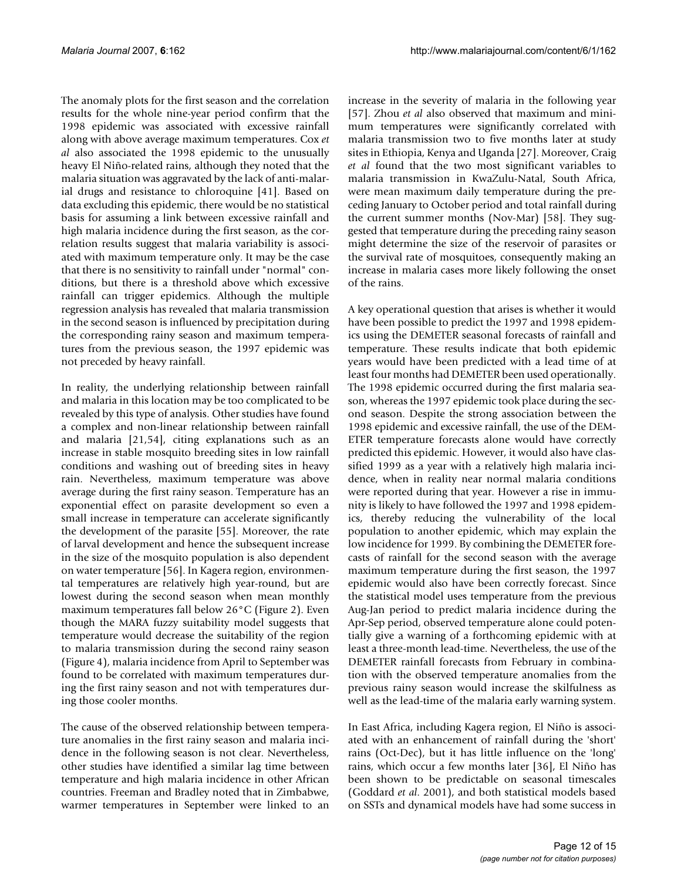The anomaly plots for the first season and the correlation results for the whole nine-year period confirm that the 1998 epidemic was associated with excessive rainfall along with above average maximum temperatures. Cox *et al* also associated the 1998 epidemic to the unusually heavy El Niño-related rains, although they noted that the malaria situation was aggravated by the lack of anti-malarial drugs and resistance to chloroquine [41]. Based on data excluding this epidemic, there would be no statistical basis for assuming a link between excessive rainfall and high malaria incidence during the first season, as the correlation results suggest that malaria variability is associated with maximum temperature only. It may be the case that there is no sensitivity to rainfall under "normal" conditions, but there is a threshold above which excessive rainfall can trigger epidemics. Although the multiple regression analysis has revealed that malaria transmission in the second season is influenced by precipitation during the corresponding rainy season and maximum temperatures from the previous season, the 1997 epidemic was not preceded by heavy rainfall.

In reality, the underlying relationship between rainfall and malaria in this location may be too complicated to be revealed by this type of analysis. Other studies have found a complex and non-linear relationship between rainfall and malaria [21,54], citing explanations such as an increase in stable mosquito breeding sites in low rainfall conditions and washing out of breeding sites in heavy rain. Nevertheless, maximum temperature was above average during the first rainy season. Temperature has an exponential effect on parasite development so even a small increase in temperature can accelerate significantly the development of the parasite [55]. Moreover, the rate of larval development and hence the subsequent increase in the size of the mosquito population is also dependent on water temperature [56]. In Kagera region, environmental temperatures are relatively high year-round, but are lowest during the second season when mean monthly maximum temperatures fall below 26°C (Figure 2). Even though the MARA fuzzy suitability model suggests that temperature would decrease the suitability of the region to malaria transmission during the second rainy season (Figure 4), malaria incidence from April to September was found to be correlated with maximum temperatures during the first rainy season and not with temperatures during those cooler months.

The cause of the observed relationship between temperature anomalies in the first rainy season and malaria incidence in the following season is not clear. Nevertheless, other studies have identified a similar lag time between temperature and high malaria incidence in other African countries. Freeman and Bradley noted that in Zimbabwe, warmer temperatures in September were linked to an

increase in the severity of malaria in the following year [57]. Zhou *et al* also observed that maximum and minimum temperatures were significantly correlated with malaria transmission two to five months later at study sites in Ethiopia, Kenya and Uganda [27]. Moreover, Craig *et al* found that the two most significant variables to malaria transmission in KwaZulu-Natal, South Africa, were mean maximum daily temperature during the preceding January to October period and total rainfall during the current summer months (Nov-Mar) [58]. They suggested that temperature during the preceding rainy season might determine the size of the reservoir of parasites or the survival rate of mosquitoes, consequently making an increase in malaria cases more likely following the onset of the rains.

A key operational question that arises is whether it would have been possible to predict the 1997 and 1998 epidemics using the DEMETER seasonal forecasts of rainfall and temperature. These results indicate that both epidemic years would have been predicted with a lead time of at least four months had DEMETER been used operationally. The 1998 epidemic occurred during the first malaria season, whereas the 1997 epidemic took place during the second season. Despite the strong association between the 1998 epidemic and excessive rainfall, the use of the DEM-ETER temperature forecasts alone would have correctly predicted this epidemic. However, it would also have classified 1999 as a year with a relatively high malaria incidence, when in reality near normal malaria conditions were reported during that year. However a rise in immunity is likely to have followed the 1997 and 1998 epidemics, thereby reducing the vulnerability of the local population to another epidemic, which may explain the low incidence for 1999. By combining the DEMETER forecasts of rainfall for the second season with the average maximum temperature during the first season, the 1997 epidemic would also have been correctly forecast. Since the statistical model uses temperature from the previous Aug-Jan period to predict malaria incidence during the Apr-Sep period, observed temperature alone could potentially give a warning of a forthcoming epidemic with at least a three-month lead-time. Nevertheless, the use of the DEMETER rainfall forecasts from February in combination with the observed temperature anomalies from the previous rainy season would increase the skilfulness as well as the lead-time of the malaria early warning system.

In East Africa, including Kagera region, El Niño is associated with an enhancement of rainfall during the 'short' rains (Oct-Dec), but it has little influence on the 'long' rains, which occur a few months later [36], El Niño has been shown to be predictable on seasonal timescales (Goddard *et al*. 2001), and both statistical models based on SSTs and dynamical models have had some success in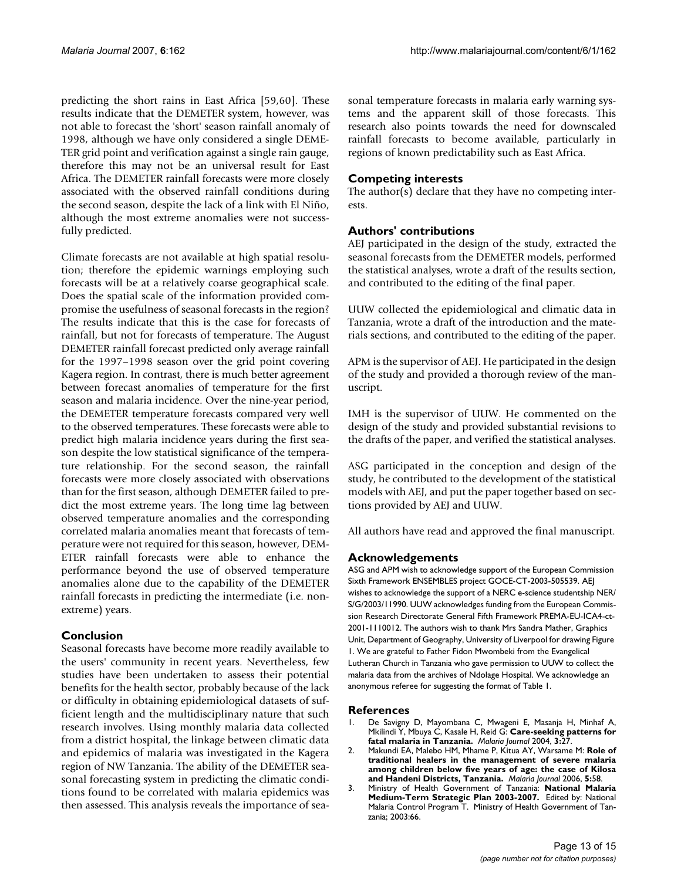predicting the short rains in East Africa [59,60]. These results indicate that the DEMETER system, however, was not able to forecast the 'short' season rainfall anomaly of 1998, although we have only considered a single DEME-TER grid point and verification against a single rain gauge, therefore this may not be an universal result for East Africa. The DEMETER rainfall forecasts were more closely associated with the observed rainfall conditions during the second season, despite the lack of a link with El Niño, although the most extreme anomalies were not successfully predicted.

Climate forecasts are not available at high spatial resolution; therefore the epidemic warnings employing such forecasts will be at a relatively coarse geographical scale. Does the spatial scale of the information provided compromise the usefulness of seasonal forecasts in the region? The results indicate that this is the case for forecasts of rainfall, but not for forecasts of temperature. The August DEMETER rainfall forecast predicted only average rainfall for the 1997–1998 season over the grid point covering Kagera region. In contrast, there is much better agreement between forecast anomalies of temperature for the first season and malaria incidence. Over the nine-year period, the DEMETER temperature forecasts compared very well to the observed temperatures. These forecasts were able to predict high malaria incidence years during the first season despite the low statistical significance of the temperature relationship. For the second season, the rainfall forecasts were more closely associated with observations than for the first season, although DEMETER failed to predict the most extreme years. The long time lag between observed temperature anomalies and the corresponding correlated malaria anomalies meant that forecasts of temperature were not required for this season, however, DEM-ETER rainfall forecasts were able to enhance the performance beyond the use of observed temperature anomalies alone due to the capability of the DEMETER rainfall forecasts in predicting the intermediate (i.e. nonextreme) years.

#### **Conclusion**

Seasonal forecasts have become more readily available to the users' community in recent years. Nevertheless, few studies have been undertaken to assess their potential benefits for the health sector, probably because of the lack or difficulty in obtaining epidemiological datasets of sufficient length and the multidisciplinary nature that such research involves. Using monthly malaria data collected from a district hospital, the linkage between climatic data and epidemics of malaria was investigated in the Kagera region of NW Tanzania. The ability of the DEMETER seasonal forecasting system in predicting the climatic conditions found to be correlated with malaria epidemics was then assessed. This analysis reveals the importance of seasonal temperature forecasts in malaria early warning systems and the apparent skill of those forecasts. This research also points towards the need for downscaled rainfall forecasts to become available, particularly in regions of known predictability such as East Africa.

### **Competing interests**

The author(s) declare that they have no competing interests.

#### **Authors' contributions**

AEJ participated in the design of the study, extracted the seasonal forecasts from the DEMETER models, performed the statistical analyses, wrote a draft of the results section, and contributed to the editing of the final paper.

UUW collected the epidemiological and climatic data in Tanzania, wrote a draft of the introduction and the materials sections, and contributed to the editing of the paper.

APM is the supervisor of AEJ. He participated in the design of the study and provided a thorough review of the manuscript.

IMH is the supervisor of UUW. He commented on the design of the study and provided substantial revisions to the drafts of the paper, and verified the statistical analyses.

ASG participated in the conception and design of the study, he contributed to the development of the statistical models with AEJ, and put the paper together based on sections provided by AEJ and UUW.

All authors have read and approved the final manuscript.

#### **Acknowledgements**

ASG and APM wish to acknowledge support of the European Commission Sixth Framework ENSEMBLES project GOCE-CT-2003-505539. AEJ wishes to acknowledge the support of a NERC e-science studentship NER/ S/G/2003/11990. UUW acknowledges funding from the European Commission Research Directorate General Fifth Framework PREMA-EU-ICA4-ct-2001-1110012. The authors wish to thank Mrs Sandra Mather, Graphics Unit, Department of Geography, University of Liverpool for drawing Figure 1. We are grateful to Father Fidon Mwombeki from the Evangelical Lutheran Church in Tanzania who gave permission to UUW to collect the malaria data from the archives of Ndolage Hospital. We acknowledge an anonymous referee for suggesting the format of Table 1.

#### **References**

- 1. De Savigny D, Mayombana C, Mwageni E, Masanja H, Minhaf A, Mkilindi Y, Mbuya C, Kasale H, Reid G: **[Care-seeking patterns for](http://www.ncbi.nlm.nih.gov/entrez/query.fcgi?cmd=Retrieve&db=PubMed&dopt=Abstract&list_uids=15282029) [fatal malaria in Tanzania.](http://www.ncbi.nlm.nih.gov/entrez/query.fcgi?cmd=Retrieve&db=PubMed&dopt=Abstract&list_uids=15282029)** *Malaria Journal* 2004, **3:**27.
- 2. Makundi EA, Malebo HM, Mhame P, Kitua AY, Warsame M: **[Role of](http://www.ncbi.nlm.nih.gov/entrez/query.fcgi?cmd=Retrieve&db=PubMed&dopt=Abstract&list_uids=16848889) [traditional healers in the management of severe malaria](http://www.ncbi.nlm.nih.gov/entrez/query.fcgi?cmd=Retrieve&db=PubMed&dopt=Abstract&list_uids=16848889) among children below five years of age: the case of Kilosa [and Handeni Districts, Tanzania.](http://www.ncbi.nlm.nih.gov/entrez/query.fcgi?cmd=Retrieve&db=PubMed&dopt=Abstract&list_uids=16848889)** *Malaria Journal* 2006, **5:**58.
- 3. Ministry of Health Government of Tanzania: **National Malaria Medium-Term Strategic Plan 2003-2007.** Edited by: National Malaria Control Program T. Ministry of Health Government of Tanzania; 2003:66.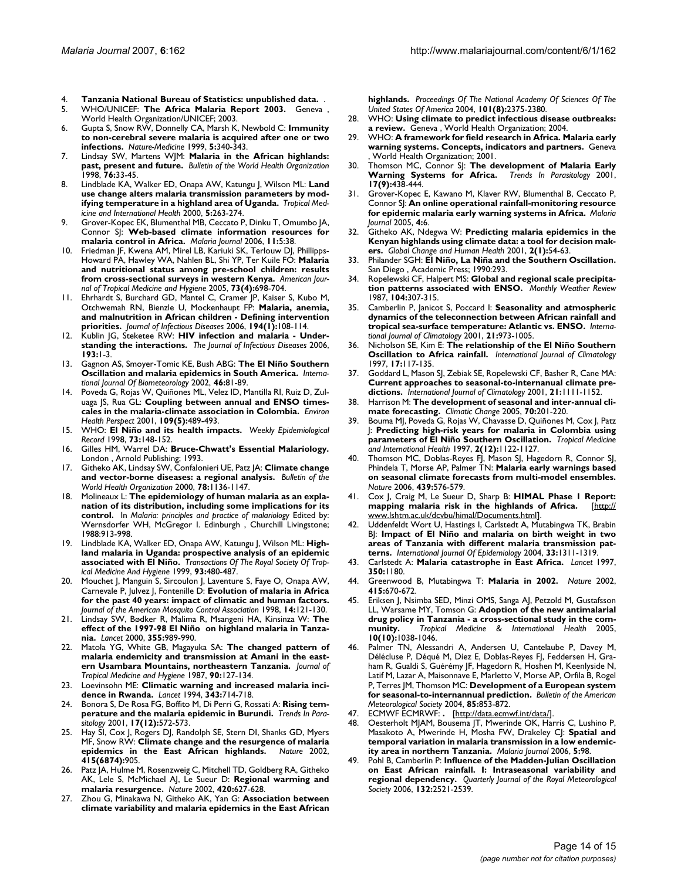- 4. **Tanzania National Bureau of Statistics: unpublished data.** .
- 5. WHO/UNICEF: **The Africa Malaria Report 2003.** Geneva , World Health Organization/UNICEF; 2003.
- 6. Gupta S, Snow RW, Donnelly CA, Marsh K, Newbold C: **[Immunity](http://www.ncbi.nlm.nih.gov/entrez/query.fcgi?cmd=Retrieve&db=PubMed&dopt=Abstract&list_uids=10086393) [to non-cerebral severe malaria is acquired after one or two](http://www.ncbi.nlm.nih.gov/entrez/query.fcgi?cmd=Retrieve&db=PubMed&dopt=Abstract&list_uids=10086393) [infections.](http://www.ncbi.nlm.nih.gov/entrez/query.fcgi?cmd=Retrieve&db=PubMed&dopt=Abstract&list_uids=10086393)** *Nature-Medicine* 1999, **5:**340-343.
- 7. Lindsay SW, Martens WJM: **[Malaria in the African highlands:](http://www.ncbi.nlm.nih.gov/entrez/query.fcgi?cmd=Retrieve&db=PubMed&dopt=Abstract&list_uids=9615495) [past, present and future.](http://www.ncbi.nlm.nih.gov/entrez/query.fcgi?cmd=Retrieve&db=PubMed&dopt=Abstract&list_uids=9615495)** *Bulletin of the World Health Organization* 1998, **76:**33-45.
- 8. Lindblade KA, Walker ED, Onapa AW, Katungu J, Wilson ML: **Land use change alters malaria transmission parameters by modifying temperature in a highland area of Uganda.** *Tropical Medicine and International Health* 2000, **5:**263-274.
- 9. Grover-Kopec EK, Blumenthal MB, Ceccato P, Dinku T, Omumbo JA, Connor SJ: **Web-based climate information resources for malaria control in Africa.** *Malaria Journal* 2006, **11:**5:38.
- 10. Friedman JF, Kwena AM, Mirel LB, Kariuki SK, Terlouw DJ, Phillipps-Howard PA, Hawley WA, Nahlen BL, Shi YP, Ter Kuile FO: **Malaria and nutritional status among pre-school children: results from cross-sectional surveys in western Kenya.** *American Journal of Tropical Medicine and Hygiene* 2005, **73(4):**698-704.
- 11. Ehrhardt S, Burchard GD, Mantel C, Cramer JP, Kaiser S, Kubo M, Otchwemah RN, Bienzle U, Mockenhaupt FP: **[Malaria, anemia,](http://www.ncbi.nlm.nih.gov/entrez/query.fcgi?cmd=Retrieve&db=PubMed&dopt=Abstract&list_uids=16741889) [and malnutrition in African children - Defining intervention](http://www.ncbi.nlm.nih.gov/entrez/query.fcgi?cmd=Retrieve&db=PubMed&dopt=Abstract&list_uids=16741889) [priorities.](http://www.ncbi.nlm.nih.gov/entrez/query.fcgi?cmd=Retrieve&db=PubMed&dopt=Abstract&list_uids=16741889)** *Journal of Infectious Diseases* 2006, **194(1):**108-114.
- 12. Kublin JG, Steketee RW: **[HIV infection and malaria Under](http://www.ncbi.nlm.nih.gov/entrez/query.fcgi?cmd=Retrieve&db=PubMed&dopt=Abstract&list_uids=16323123)[standing the interactions.](http://www.ncbi.nlm.nih.gov/entrez/query.fcgi?cmd=Retrieve&db=PubMed&dopt=Abstract&list_uids=16323123)** *The Journal of Infectious Diseases* 2006, **193:**1-3.
- 13. Gagnon AS, Smoyer-Tomic KE, Bush ABG: **[The El Niño Southern](http://www.ncbi.nlm.nih.gov/entrez/query.fcgi?cmd=Retrieve&db=PubMed&dopt=Abstract&list_uids=12135203) [Oscillation and malaria epidemics in South America.](http://www.ncbi.nlm.nih.gov/entrez/query.fcgi?cmd=Retrieve&db=PubMed&dopt=Abstract&list_uids=12135203)** *International Journal Of Biometeorology* 2002, **46:**81-89.
- 14. Poveda G, Rojas W, Quiñones ML, Velez ID, Mantilla RI, Ruiz D, Zuluaga JS, Rua GL: **[Coupling between annual and ENSO times](http://www.ncbi.nlm.nih.gov/entrez/query.fcgi?cmd=Retrieve&db=PubMed&dopt=Abstract&list_uids=11401760)[cales in the malaria-climate association in Colombia.](http://www.ncbi.nlm.nih.gov/entrez/query.fcgi?cmd=Retrieve&db=PubMed&dopt=Abstract&list_uids=11401760)** *Environ Health Perspect* 2001, **109(5):**489-493.
- 15. WHO: **[El Niño and its health impacts.](http://www.ncbi.nlm.nih.gov/entrez/query.fcgi?cmd=Retrieve&db=PubMed&dopt=Abstract&list_uids=9619086)** *Weekly Epidemiological Record* 1998, **73:**148-152.
- 16. Gilles HM, Warrel DA: **Bruce-Chwatt's Essential Malariology.** London , Arnold Publishing; 1993.
- 17. Githeko AK, Lindsay SW, Confalonieri UE, Patz JA: **[Climate change](http://www.ncbi.nlm.nih.gov/entrez/query.fcgi?cmd=Retrieve&db=PubMed&dopt=Abstract&list_uids=11019462) [and vector-borne diseases: a regional analysis.](http://www.ncbi.nlm.nih.gov/entrez/query.fcgi?cmd=Retrieve&db=PubMed&dopt=Abstract&list_uids=11019462)** *Bulletin of the World Health Organization* 2000, **78:**1136-1147.
- 18. Molineaux L: **The epidemiology of human malaria as an explanation of its distribution, including some implications for its control.** In *Malaria: principles and practice of malariology* Edited by: Wernsdorfer WH, McGregor I. Edinburgh , Churchill Livingstone; 1988:913-998.
- 19. Lindblade KA, Walker ED, Onapa AW, Katungu J, Wilson ML: **Highland malaria in Uganda: prospective analysis of an epidemic associated with El Niño.** *Transactions Of The Royal Society Of Tropical Medicine And Hygiene* 1999, **93:**480-487.
- 20. Mouchet J, Manguin S, Sircoulon J, Laventure S, Faye O, Onapa AW, Carnevale P, Julvez J, Fontenille D: **[Evolution of malaria in Africa](http://www.ncbi.nlm.nih.gov/entrez/query.fcgi?cmd=Retrieve&db=PubMed&dopt=Abstract&list_uids=9673911) [for the past 40 years: impact of climatic and human factors.](http://www.ncbi.nlm.nih.gov/entrez/query.fcgi?cmd=Retrieve&db=PubMed&dopt=Abstract&list_uids=9673911)** *Journal of the American Mosquito Control Association* 1998, **14:**121-130.
- 21. Lindsay SW, Bødker R, Malima R, Msangeni HA, Kinsinza W: **[The](http://www.ncbi.nlm.nih.gov/entrez/query.fcgi?cmd=Retrieve&db=PubMed&dopt=Abstract&list_uids=10768443) [effect of the 1997-98 El Niño on highland malaria in Tanza](http://www.ncbi.nlm.nih.gov/entrez/query.fcgi?cmd=Retrieve&db=PubMed&dopt=Abstract&list_uids=10768443)[nia.](http://www.ncbi.nlm.nih.gov/entrez/query.fcgi?cmd=Retrieve&db=PubMed&dopt=Abstract&list_uids=10768443)** *Lancet* 2000, **355:**989-990.
- 22. Matola YG, White GB, Magayuka SA: **The changed pattern of malaria endemicity and transmission at Amani in the eastern Usambara Mountains, northeastern Tanzania.** *Journal of Tropical Medicine and Hygiene* 1987, **90:**127-134.
- Loevinsohn ME: [Climatic warning and increased malaria inci](http://www.ncbi.nlm.nih.gov/entrez/query.fcgi?cmd=Retrieve&db=PubMed&dopt=Abstract&list_uids=7907685)**[dence in Rwanda.](http://www.ncbi.nlm.nih.gov/entrez/query.fcgi?cmd=Retrieve&db=PubMed&dopt=Abstract&list_uids=7907685)** *Lancet* 1994, **343:**714-718.
- 24. Bonora S, De Rosa FG, Boffito M, Di Perri G, Rossati A: **[Rising tem](http://www.ncbi.nlm.nih.gov/entrez/query.fcgi?cmd=Retrieve&db=PubMed&dopt=Abstract&list_uids=11756033)[perature and the malaria epidemic in Burundi.](http://www.ncbi.nlm.nih.gov/entrez/query.fcgi?cmd=Retrieve&db=PubMed&dopt=Abstract&list_uids=11756033)** *Trends In Parasitology* 2001, **17(12):**572-573.
- 25. Hay SI, Cox J, Rogers DJ, Randolph SE, Stern DI, Shanks GD, Myers MF, Snow RW: **[Climate change and the resurgence of malaria](http://www.ncbi.nlm.nih.gov/entrez/query.fcgi?cmd=Retrieve&db=PubMed&dopt=Abstract&list_uids=11859368) [epidemics in the East African highlands.](http://www.ncbi.nlm.nih.gov/entrez/query.fcgi?cmd=Retrieve&db=PubMed&dopt=Abstract&list_uids=11859368)** *Nature* 2002, **415(6874):**905.
- 26. Patz JA, Hulme M, Rosenzweig C, Mitchell TD, Goldberg RA, Githeko AK, Lele S, McMichael AJ, Le Sueur D: **[Regional warming and](http://www.ncbi.nlm.nih.gov/entrez/query.fcgi?cmd=Retrieve&db=PubMed&dopt=Abstract&list_uids=12478282) [malaria resurgence.](http://www.ncbi.nlm.nih.gov/entrez/query.fcgi?cmd=Retrieve&db=PubMed&dopt=Abstract&list_uids=12478282)** *Nature* 2002, **420:**627-628.
- 27. Zhou G, Minakawa N, Githeko AK, Yan G: **[Association between](http://www.ncbi.nlm.nih.gov/entrez/query.fcgi?cmd=Retrieve&db=PubMed&dopt=Abstract&list_uids=14983017) [climate variability and malaria epidemics in the East African](http://www.ncbi.nlm.nih.gov/entrez/query.fcgi?cmd=Retrieve&db=PubMed&dopt=Abstract&list_uids=14983017)**

**[highlands.](http://www.ncbi.nlm.nih.gov/entrez/query.fcgi?cmd=Retrieve&db=PubMed&dopt=Abstract&list_uids=14983017)** *Proceedings Of The National Academy Of Sciences Of The United States Of America* 2004, **101(8):**2375-2380.

- 28. WHO: **Using climate to predict infectious disease outbreaks: a review.** Geneva , World Health Organization; 2004.
- 29. WHO: **A framework for field research in Africa. Malaria early warning systems. Concepts, indicators and partners.** Geneva , World Health Organization; 2001.
- Thomson MC, Connor SJ: [The development of Malaria Early](http://www.ncbi.nlm.nih.gov/entrez/query.fcgi?cmd=Retrieve&db=PubMed&dopt=Abstract&list_uids=11530356) **[Warning Systems for Africa.](http://www.ncbi.nlm.nih.gov/entrez/query.fcgi?cmd=Retrieve&db=PubMed&dopt=Abstract&list_uids=11530356)** *Trends In Parasitology* 2001, **17(9):**438-444.
- 31. Grover-Kopec E, Kawano M, Klaver RW, Blumenthal B, Ceccato P, Connor SJ: **[An online operational rainfall-monitoring resource](http://www.ncbi.nlm.nih.gov/entrez/query.fcgi?cmd=Retrieve&db=PubMed&dopt=Abstract&list_uids=15663795) [for epidemic malaria early warning systems in Africa.](http://www.ncbi.nlm.nih.gov/entrez/query.fcgi?cmd=Retrieve&db=PubMed&dopt=Abstract&list_uids=15663795)** *Malaria Journal* 2005, **4:**6.
- 32. Githeko AK, Ndegwa W: **Predicting malaria epidemics in the Kenyan highlands using climate data: a tool for decision makers.** *Global Change and Human Health* 2001, **2(1):**54-63.
- 33. Philander SGH: **El Niño, La Niña and the Southern Oscillation.** San Diego , Academic Press; 1990:293.
- 34. Ropelewski CF, Halpert MS: **Global and regional scale precipitation patterns associated with ENSO.** *Monthly Weather Review* 1987, **104:**307-315.
- 35. Camberlin P, Janicot S, Poccard I: **Seasonality and atmospheric dynamics of the teleconnection between African rainfall and tropical sea-surface temperature: Atlantic vs. ENSO.** *International Journal of Climatology* 2001, **21:**973-1005.
- 36. Nicholson SE, Kim E: **The relationship of the El Niño Southern Oscillation to Africa rainfall.** *International Journal of Climatology* 1997, **17:**117-135.
- 37. Goddard L, Mason SJ, Zebiak SE, Ropelewski CF, Basher R, Cane MA: **Current approaches to seasonal-to-internanual climate predictions.** *International Journal of Climatology* 2001, **21:**1111-1152.
- 38. Harrison M: **The development of seasonal and inter-annual climate forecasting.** *Climatic Change* 2005, **70:**201-220.
- 39. Bouma MJ, Poveda G, Rojas W, Chavasse D, Quiñones M, Cox J, Patz J: **Predicting high-risk years for malaria in Colombia using parameters of El Niño Southern Oscillation.** *Tropical Medicine and International Health* 1997, **2(12):**1122-1127.
- Thomson MC, Doblas-Reyes FJ, Mason SJ, Hagedorn R, Connor SJ, Phindela T, Morse AP, Palmer TN: **[Malaria early warnings based](http://www.ncbi.nlm.nih.gov/entrez/query.fcgi?cmd=Retrieve&db=PubMed&dopt=Abstract&list_uids=16452977) [on seasonal climate forecasts from multi-model ensembles.](http://www.ncbi.nlm.nih.gov/entrez/query.fcgi?cmd=Retrieve&db=PubMed&dopt=Abstract&list_uids=16452977)** *Nature* 2006, **439:**576-579.
- 41. Cox J, Craig M, Le Sueur D, Sharp B: **HIMAL Phase 1 Report:** mapping malaria risk in the highlands of Africa. [www.lshtm.ac.uk/dcvbu/himal/Documents.html\]](http://www.lshtm.ac.uk/dcvbu/himal/Documents.html).
- Uddenfeldt Wort U, Hastings I, Carlstedt A, Mutabingwa TK, Brabin BJ: **[Impact of El Niño and malaria on birth weight in two](http://www.ncbi.nlm.nih.gov/entrez/query.fcgi?cmd=Retrieve&db=PubMed&dopt=Abstract&list_uids=15256522) [areas of Tanzania with different malaria transmission pat](http://www.ncbi.nlm.nih.gov/entrez/query.fcgi?cmd=Retrieve&db=PubMed&dopt=Abstract&list_uids=15256522)[terns.](http://www.ncbi.nlm.nih.gov/entrez/query.fcgi?cmd=Retrieve&db=PubMed&dopt=Abstract&list_uids=15256522)** *International Journal Of Epidemiology* 2004, **33:**1311-1319.
- 43. Carlstedt A: **[Malaria catastrophe in East Africa.](http://www.ncbi.nlm.nih.gov/entrez/query.fcgi?cmd=Retrieve&db=PubMed&dopt=Abstract&list_uids=9343534)** *Lancet* 1997, **350:**1180.
- 44. Greenwood B, Mutabingwa T: **[Malaria in 2002.](http://www.ncbi.nlm.nih.gov/entrez/query.fcgi?cmd=Retrieve&db=PubMed&dopt=Abstract&list_uids=11832954)** *Nature* 2002, **415:**670-672.
- 45. Eriksen J, Nsimba SED, Minzi OMS, Sanga AJ, Petzold M, Gustafsson LL, Warsame MY, Tomson G: **Adoption of the new antimalarial drug policy in Tanzania - a cross-sectional study in the community.** *Tropical Medicine & International Health* 2005, **10(10):**1038-1046.
- Palmer TN, Alessandri A, Andersen U, Cantelaube P, Davey M, Délécluse P, Déqué M, Díez E, Doblas-Reyes FJ, Feddersen H, Graham R, Gualdi S, Guérémy JF, Hagedorn R, Hoshen M, Keenlyside N, Latif M, Lazar A, Maisonnave E, Marletto V, Morse AP, Orfila B, Rogel P, Terres JM, Thomson MC: **Development of a European system for seasonal-to-internannual prediction.** *Bulletin of the American Meteorological Society* 2004, **85:**853-872.
- 47. ECMWF ECMRWF: **.** [[http://data.ecmwf.int/data/\]](http://data.ecmwf.int/data/).
- 48. Oesterholt MJAM, Bousema JT, Mwerinde OK, Harris C, Lushino P, Masakoto A, Mwerinde H, Mosha FW, Drakeley CJ: **[Spatial and](http://www.ncbi.nlm.nih.gov/entrez/query.fcgi?cmd=Retrieve&db=PubMed&dopt=Abstract&list_uids=17081311) [temporal variation in malaria transmission in a low endemic](http://www.ncbi.nlm.nih.gov/entrez/query.fcgi?cmd=Retrieve&db=PubMed&dopt=Abstract&list_uids=17081311)[ity area in northern Tanzania.](http://www.ncbi.nlm.nih.gov/entrez/query.fcgi?cmd=Retrieve&db=PubMed&dopt=Abstract&list_uids=17081311)** *Malaria Journal* 2006, **5:**98.
- 49. Pohl B, Camberlin P: **Influence of the Madden-Julian Oscillation on East African rainfall. I: Intraseasonal variability and regional dependency.** *Quarterly Journal of the Royal Meteorological Society* 2006, **132:**2521-2539.